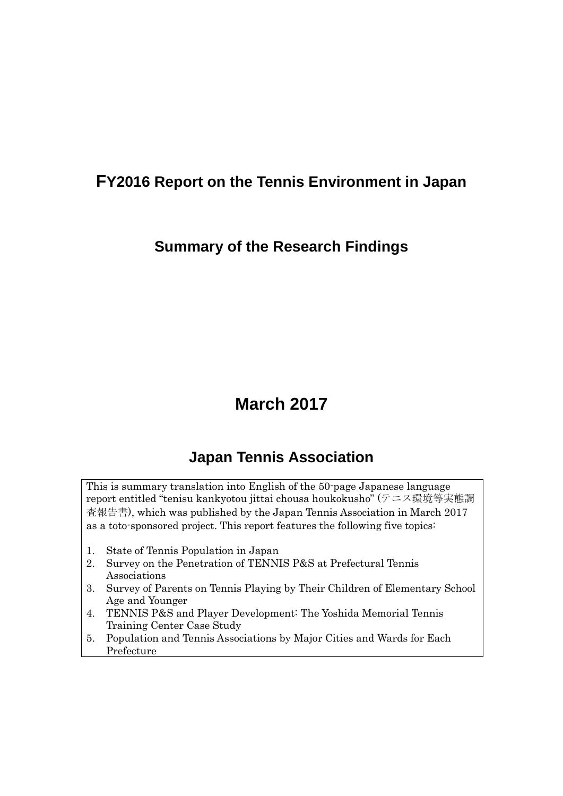## **FY2016 Report on the Tennis Environment in Japan**

### **Summary of the Research Findings**

# **March 2017**

## **Japan Tennis Association**

This is summary translation into English of the 50-page Japanese language report entitled "tenisu kankyotou jittai chousa houkokusho" (テニス環境等実態調 査報告書), which was published by the Japan Tennis Association in March 2017 as a toto-sponsored project. This report features the following five topics:

- 1. State of Tennis Population in Japan
- 2. Survey on the Penetration of TENNIS P&S at Prefectural Tennis Associations
- 3. Survey of Parents on Tennis Playing by Their Children of Elementary School Age and Younger
- 4. TENNIS P&S and Player Development: The Yoshida Memorial Tennis Training Center Case Study
- 5. Population and Tennis Associations by Major Cities and Wards for Each Prefecture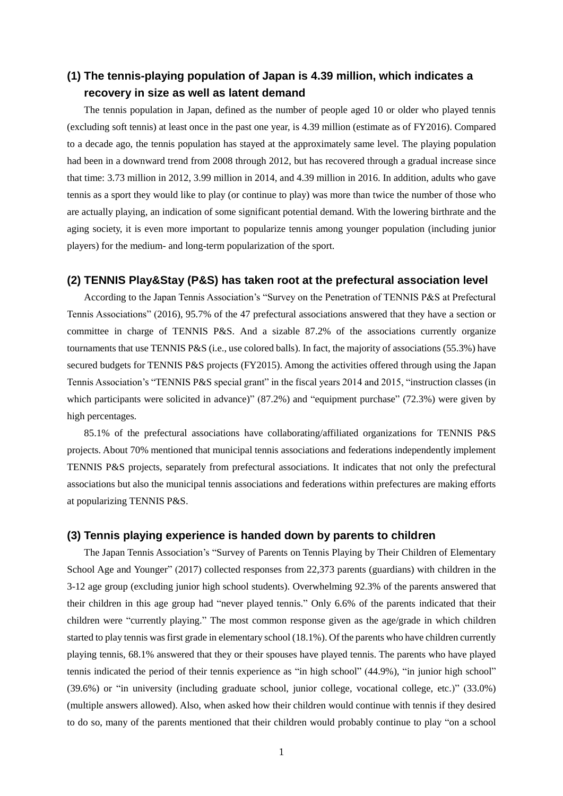### **(1) The tennis-playing population of Japan is 4.39 million, which indicates a recovery in size as well as latent demand**

The tennis population in Japan, defined as the number of people aged 10 or older who played tennis (excluding soft tennis) at least once in the past one year, is 4.39 million (estimate as of FY2016). Compared to a decade ago, the tennis population has stayed at the approximately same level. The playing population had been in a downward trend from 2008 through 2012, but has recovered through a gradual increase since that time: 3.73 million in 2012, 3.99 million in 2014, and 4.39 million in 2016. In addition, adults who gave tennis as a sport they would like to play (or continue to play) was more than twice the number of those who are actually playing, an indication of some significant potential demand. With the lowering birthrate and the aging society, it is even more important to popularize tennis among younger population (including junior players) for the medium- and long-term popularization of the sport.

#### **(2) TENNIS Play&Stay (P&S) has taken root at the prefectural association level**

According to the Japan Tennis Association's "Survey on the Penetration of TENNIS P&S at Prefectural Tennis Associations" (2016), 95.7% of the 47 prefectural associations answered that they have a section or committee in charge of TENNIS P&S. And a sizable 87.2% of the associations currently organize tournaments that use TENNIS P&S (i.e., use colored balls). In fact, the majority of associations (55.3%) have secured budgets for TENNIS P&S projects (FY2015). Among the activities offered through using the Japan Tennis Association's "TENNIS P&S special grant" in the fiscal years 2014 and 2015, "instruction classes (in which participants were solicited in advance)" (87.2%) and "equipment purchase" (72.3%) were given by high percentages.

85.1% of the prefectural associations have collaborating/affiliated organizations for TENNIS P&S projects. About 70% mentioned that municipal tennis associations and federations independently implement TENNIS P&S projects, separately from prefectural associations. It indicates that not only the prefectural associations but also the municipal tennis associations and federations within prefectures are making efforts at popularizing TENNIS P&S.

#### **(3) Tennis playing experience is handed down by parents to children**

The Japan Tennis Association's "Survey of Parents on Tennis Playing by Their Children of Elementary School Age and Younger" (2017) collected responses from 22,373 parents (guardians) with children in the 3-12 age group (excluding junior high school students). Overwhelming 92.3% of the parents answered that their children in this age group had "never played tennis." Only 6.6% of the parents indicated that their children were "currently playing." The most common response given as the age/grade in which children started to play tennis was first grade in elementary school (18.1%). Of the parents who have children currently playing tennis, 68.1% answered that they or their spouses have played tennis. The parents who have played tennis indicated the period of their tennis experience as "in high school" (44.9%), "in junior high school" (39.6%) or "in university (including graduate school, junior college, vocational college, etc.)" (33.0%) (multiple answers allowed). Also, when asked how their children would continue with tennis if they desired to do so, many of the parents mentioned that their children would probably continue to play "on a school